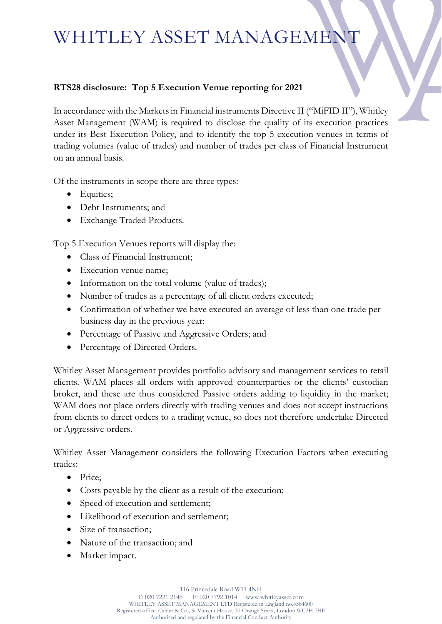# WHITLEY ASSET MANAGEMENT

#### **RTS28 disclosure: Top 5 Execution Venue reporting for 2021**

In accordance with the Markets in Financial instruments Directive II ("MiFID II"), Whitley Asset Management (WAM) is required to disclose the quality of its execution practices under its Best Execution Policy, and to identify the top 5 execution venues in terms of trading volumes (value of trades) and number of trades per class of Financial Instrument on an annual basis.

Of the instruments in scope there are three types:

- Equities;
- Debt Instruments; and
- Exchange Traded Products.

Top 5 Execution Venues reports will display the:

- Class of Financial Instrument;
- Execution venue name;
- Information on the total volume (value of trades);
- Number of trades as a percentage of all client orders executed;
- Confirmation of whether we have executed an average of less than one trade per business day in the previous year:
- Percentage of Passive and Aggressive Orders; and
- Percentage of Directed Orders.

Whitley Asset Management provides portfolio advisory and management services to retail clients. WAM places all orders with approved counterparties or the clients' custodian broker, and these are thus considered Passive orders adding to liquidity in the market; WAM does not place orders directly with trading venues and does not accept instructions from clients to direct orders to a trading venue, so does not therefore undertake Directed or Aggressive orders.

Whitley Asset Management considers the following Execution Factors when executing trades:

- Price;
- Costs payable by the client as a result of the execution;
- Speed of execution and settlement;
- Likelihood of execution and settlement;
- Size of transaction;
- Nature of the transaction; and
- Market impact.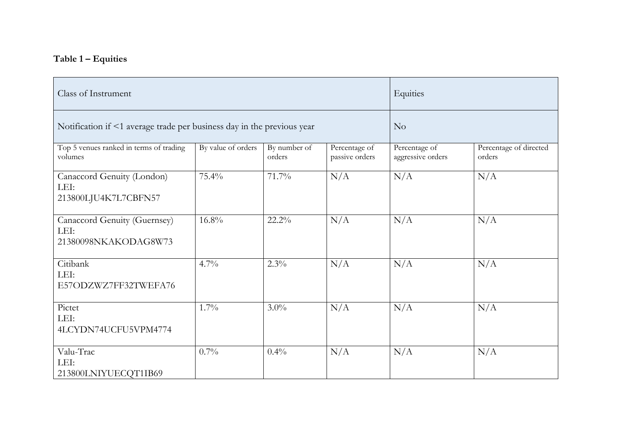## **Table 1 – Equities**

| Class of Instrument                                                    | Equities           |                        |                                 |                                    |                                  |
|------------------------------------------------------------------------|--------------------|------------------------|---------------------------------|------------------------------------|----------------------------------|
| Notification if <1 average trade per business day in the previous year | No                 |                        |                                 |                                    |                                  |
| Top 5 venues ranked in terms of trading<br>volumes                     | By value of orders | By number of<br>orders | Percentage of<br>passive orders | Percentage of<br>aggressive orders | Percentage of directed<br>orders |
| Canaccord Genuity (London)<br>LEI:<br>213800LJU4K7L7CBFN57             | 75.4%              | 71.7%                  | N/A                             | N/A                                | N/A                              |
| Canaccord Genuity (Guernsey)<br>LEI:<br>21380098NKAKODAG8W73           | $16.8\%$           | 22.2%                  | N/A                             | N/A                                | N/A                              |
| Citibank<br>LEI:<br>E57ODZWZ7FF32TWEFA76                               | 4.7%               | $2.3\%$                | N/A                             | N/A                                | N/A                              |
| Pictet<br>LEI:<br>4LCYDN74UCFU5VPM4774                                 | 1.7%               | $3.0\%$                | N/A                             | N/A                                | N/A                              |
| Valu-Trac<br>LEI:<br>213800LNIYUECQT1IB69                              | 0.7%               | 0.4%                   | N/A                             | N/A                                | N/A                              |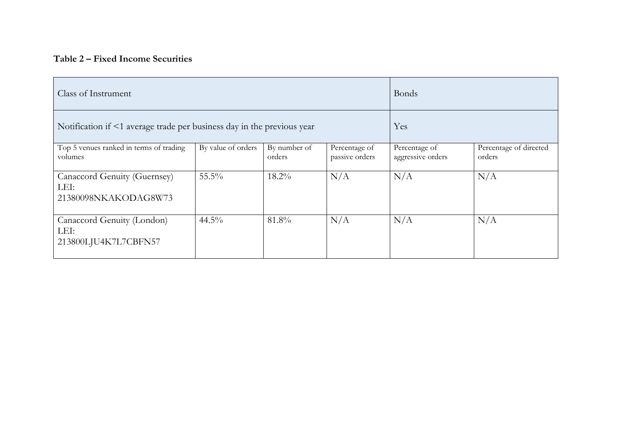#### **Table 2 – Fixed Income Securities**

| Class of Instrument                                                    | <b>Bonds</b>       |                        |                                 |                                    |                                  |
|------------------------------------------------------------------------|--------------------|------------------------|---------------------------------|------------------------------------|----------------------------------|
| Notification if <1 average trade per business day in the previous year | Yes                |                        |                                 |                                    |                                  |
| Top 5 venues ranked in terms of trading<br>volumes                     | By value of orders | By number of<br>orders | Percentage of<br>passive orders | Percentage of<br>aggressive orders | Percentage of directed<br>orders |
| Canaccord Genuity (Guernsey)<br>LEI:<br>21380098NKAKODAG8W73           | $55.5\%$           | $18.2\%$               | N/A                             | N/A                                | N/A                              |
| Canaccord Genuity (London)<br>LEI:<br>213800LJU4K7L7CBFN57             | $44.5\%$           | 81.8%                  | N/A                             | N/A                                | N/A                              |